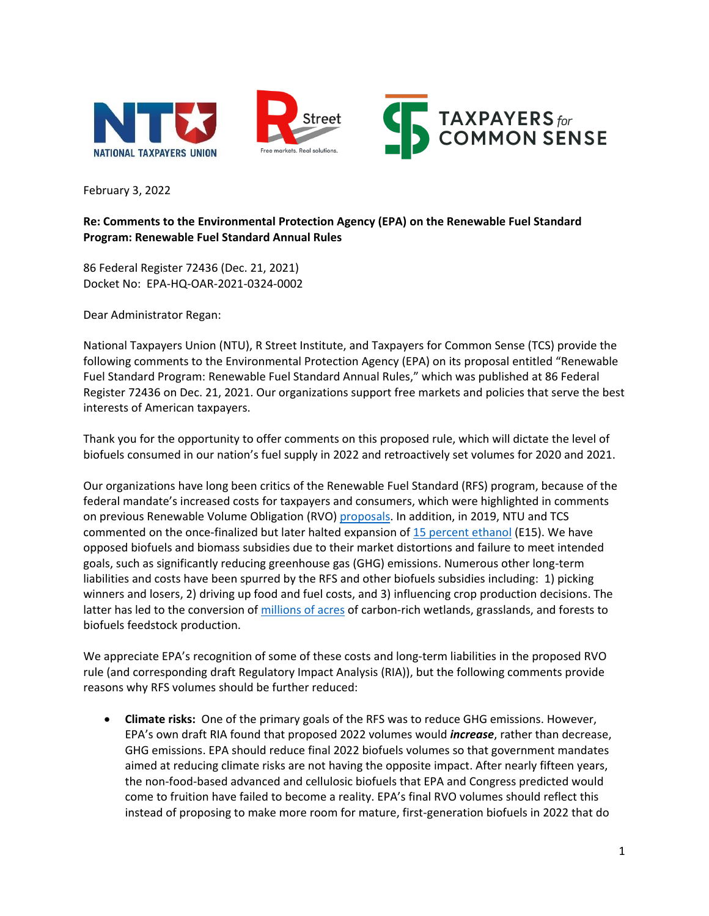

February 3, 2022

## **Re: Comments to the Environmental Protection Agency (EPA) on the Renewable Fuel Standard Program: Renewable Fuel Standard Annual Rules**

86 Federal Register 72436 (Dec. 21, 2021) Docket No: EPA-HQ-OAR-2021-0324-0002

Dear Administrator Regan:

National Taxpayers Union (NTU), R Street Institute, and Taxpayers for Common Sense (TCS) provide the following comments to the Environmental Protection Agency (EPA) on its proposal entitled "Renewable Fuel Standard Program: Renewable Fuel Standard Annual Rules," which was published at 86 Federal Register 72436 on Dec. 21, 2021. Our organizations support free markets and policies that serve the best interests of American taxpayers.

Thank you for the opportunity to offer comments on this proposed rule, which will dictate the level of biofuels consumed in our nation's fuel supply in 2022 and retroactively set volumes for 2020 and 2021.

Our organizations have long been critics of the Renewable Fuel Standard (RFS) program, because of the federal mandate's increased costs for taxpayers and consumers, which were highlighted in comments on previous Renewable Volume Obligation (RVO) [proposals.](https://www.taxpayer.net/wp-content/uploads/2018/08/TCS-RVO-Comments_AUGUST-2018.pdf) In addition, in 2019, NTU and TCS commented on the once-finalized but later halted expansion of [15 percent ethanol](https://www.taxpayer.net/wp-content/uploads/2019/04/TCS-NTU-E15-Comments_Proposed-Rule_APRIL-2019_FINAL.pdf) (E15). We have opposed biofuels and biomass subsidies due to their market distortions and failure to meet intended goals, such as significantly reducing greenhouse gas (GHG) emissions. Numerous other long-term liabilities and costs have been spurred by the RFS and other biofuels subsidies including: 1) picking winners and losers, 2) driving up food and fuel costs, and 3) influencing crop production decisions. The latter has led to the conversion of [millions of acres](https://iopscience.iop.org/article/10.1088/1748-9326/10/4/044003/meta) of carbon-rich wetlands, grasslands, and forests to biofuels feedstock production.

We appreciate EPA's recognition of some of these costs and long-term liabilities in the proposed RVO rule (and corresponding draft Regulatory Impact Analysis (RIA)), but the following comments provide reasons why RFS volumes should be further reduced:

• **Climate risks:** One of the primary goals of the RFS was to reduce GHG emissions. However, EPA's own draft RIA found that proposed 2022 volumes would *increase*, rather than decrease, GHG emissions. EPA should reduce final 2022 biofuels volumes so that government mandates aimed at reducing climate risks are not having the opposite impact. After nearly fifteen years, the non-food-based advanced and cellulosic biofuels that EPA and Congress predicted would come to fruition have failed to become a reality. EPA's final RVO volumes should reflect this instead of proposing to make more room for mature, first-generation biofuels in 2022 that do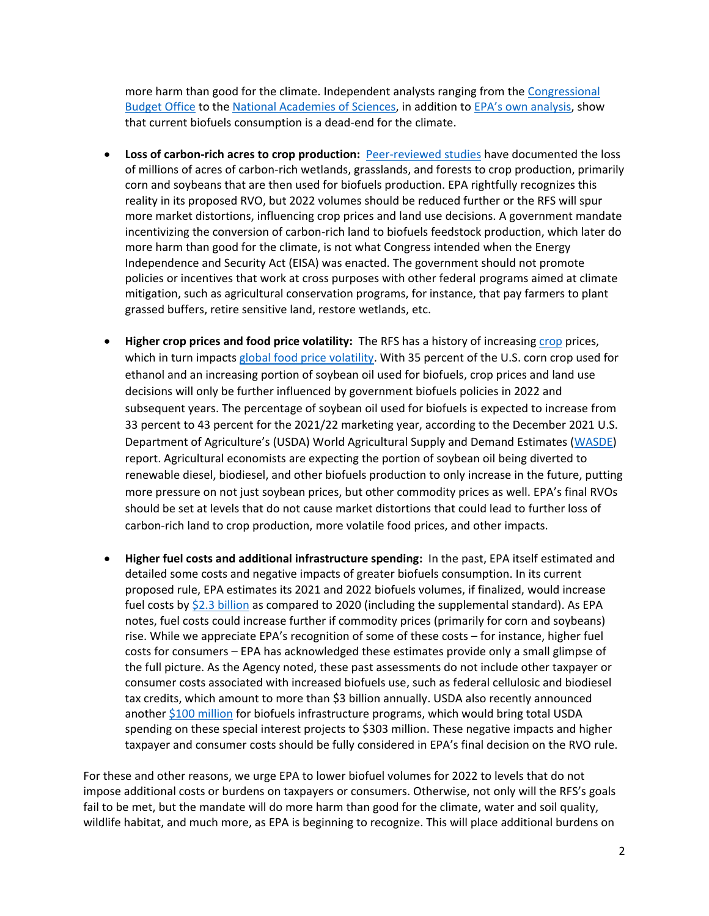more harm than good for the climate. Independent analysts ranging from the [Congressional](https://www.cbo.gov/sites/default/files/113th-congress-2013-2014/reports/45477-Biofuels2.pdf)  [Budget Office](https://www.cbo.gov/sites/default/files/113th-congress-2013-2014/reports/45477-Biofuels2.pdf) to the [National Academies of Sciences,](https://www.nationalacademies.org/our-work/economic-and-environmental-impacts-of-increasing-biofuels-production) in addition to [EPA's own analysis](https://www.epa.gov/sites/default/files/2021-12/documents/420d21002.pdf), show that current biofuels consumption is a dead-end for the climate.

- **Loss of carbon-rich acres to crop production:** [Peer-reviewed studies](https://iopscience.iop.org/article/10.1088/1748-9326/10/4/044003/meta) have documented the loss of millions of acres of carbon-rich wetlands, grasslands, and forests to crop production, primarily corn and soybeans that are then used for biofuels production. EPA rightfully recognizes this reality in its proposed RVO, but 2022 volumes should be reduced further or the RFS will spur more market distortions, influencing crop prices and land use decisions. A government mandate incentivizing the conversion of carbon-rich land to biofuels feedstock production, which later do more harm than good for the climate, is not what Congress intended when the Energy Independence and Security Act (EISA) was enacted. The government should not promote policies or incentives that work at cross purposes with other federal programs aimed at climate mitigation, such as agricultural conservation programs, for instance, that pay farmers to plant grassed buffers, retire sensitive land, restore wetlands, etc.
- **Higher crop prices and food price volatility:** The RFS has a history of increasing [crop](https://theicct.org/publication/the-impact-of-the-u-s-renewable-fuel-standard-on-food-and-feed-prices/) prices, which in turn impacts [global food price volatility.](https://www.researchgate.net/publication/347311845_Volatilitiy_of_World_Food_Commodity_Prices_and_Renewable_Fuel_Standard_Policy) With 35 percent of the U.S. corn crop used for ethanol and an increasing portion of soybean oil used for biofuels, crop prices and land use decisions will only be further influenced by government biofuels policies in 2022 and subsequent years. The percentage of soybean oil used for biofuels is expected to increase from 33 percent to 43 percent for the 2021/22 marketing year, according to the December 2021 U.S. Department of Agriculture's (USDA) World Agricultural Supply and Demand Estimates [\(WASDE\)](https://www.usda.gov/oce/commodity/wasde/wasde1221.pdf) report. Agricultural economists are expecting the portion of soybean oil being diverted to renewable diesel, biodiesel, and other biofuels production to only increase in the future, putting more pressure on not just soybean prices, but other commodity prices as well. EPA's final RVOs should be set at levels that do not cause market distortions that could lead to further loss of carbon-rich land to crop production, more volatile food prices, and other impacts.
- **Higher fuel costs and additional infrastructure spending:** In the past, EPA itself estimated and detailed some costs and negative impacts of greater biofuels consumption. In its current proposed rule, EPA estimates its 2021 and 2022 biofuels volumes, if finalized, would increase fuel costs by [\\$2.3 billion](https://www.epa.gov/sites/default/files/2021-12/documents/420d21002.pdf) as compared to 2020 (including the supplemental standard). As EPA notes, fuel costs could increase further if commodity prices (primarily for corn and soybeans) rise. While we appreciate EPA's recognition of some of these costs – for instance, higher fuel costs for consumers – EPA has acknowledged these estimates provide only a small glimpse of the full picture. As the Agency noted, these past assessments do not include other taxpayer or consumer costs associated with increased biofuels use, such as federal cellulosic and biodiesel tax credits, which amount to more than \$3 billion annually. USDA also recently announced another [\\$100 million](https://www.usda.gov/media/press-releases/2021/12/07/usda-make-800-million-available-provide-economic-relief-biofuel) for biofuels infrastructure programs, which would bring total USDA spending on these special interest projects to \$303 million. These negative impacts and higher taxpayer and consumer costs should be fully considered in EPA's final decision on the RVO rule.

For these and other reasons, we urge EPA to lower biofuel volumes for 2022 to levels that do not impose additional costs or burdens on taxpayers or consumers. Otherwise, not only will the RFS's goals fail to be met, but the mandate will do more harm than good for the climate, water and soil quality, wildlife habitat, and much more, as EPA is beginning to recognize. This will place additional burdens on